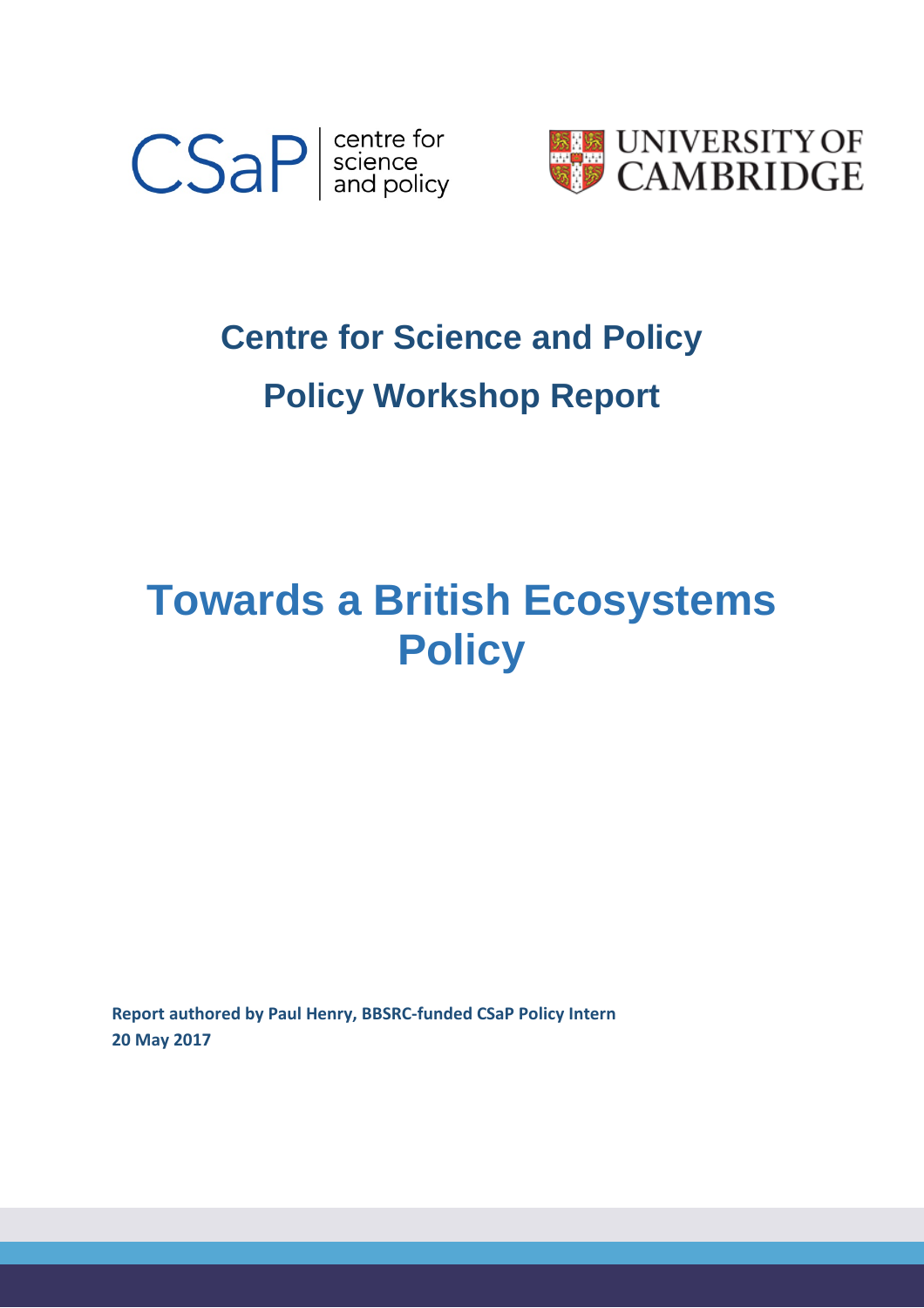



# **Centre for Science and Policy Policy Workshop Report**

## **Towards a British Ecosystems Policy**

**Report authored by Paul Henry, BBSRC-funded CSaP Policy Intern 20 May 2017**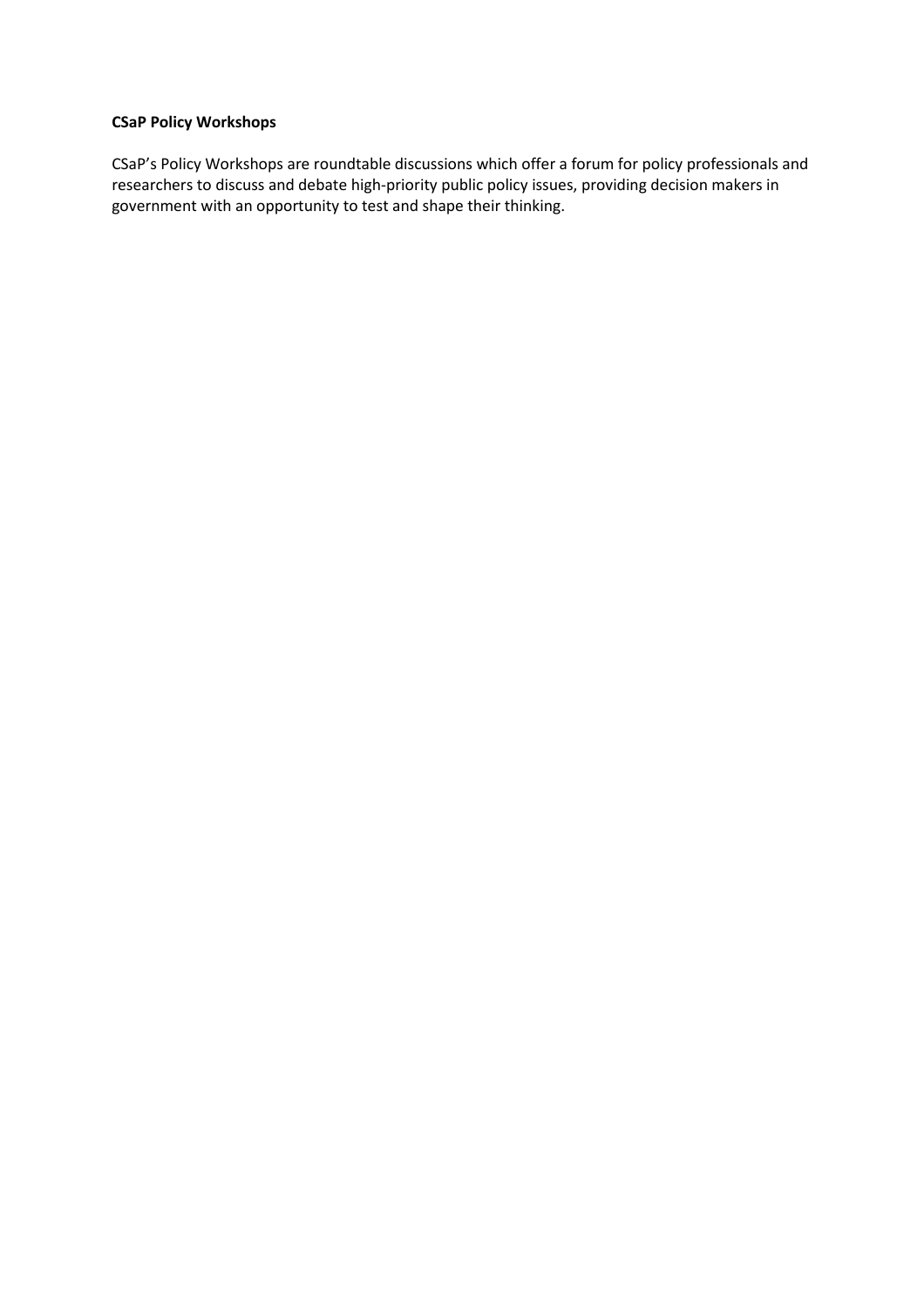#### **CSaP Policy Workshops**

CSaP's Policy Workshops are roundtable discussions which offer a forum for policy professionals and researchers to discuss and debate high-priority public policy issues, providing decision makers in government with an opportunity to test and shape their thinking.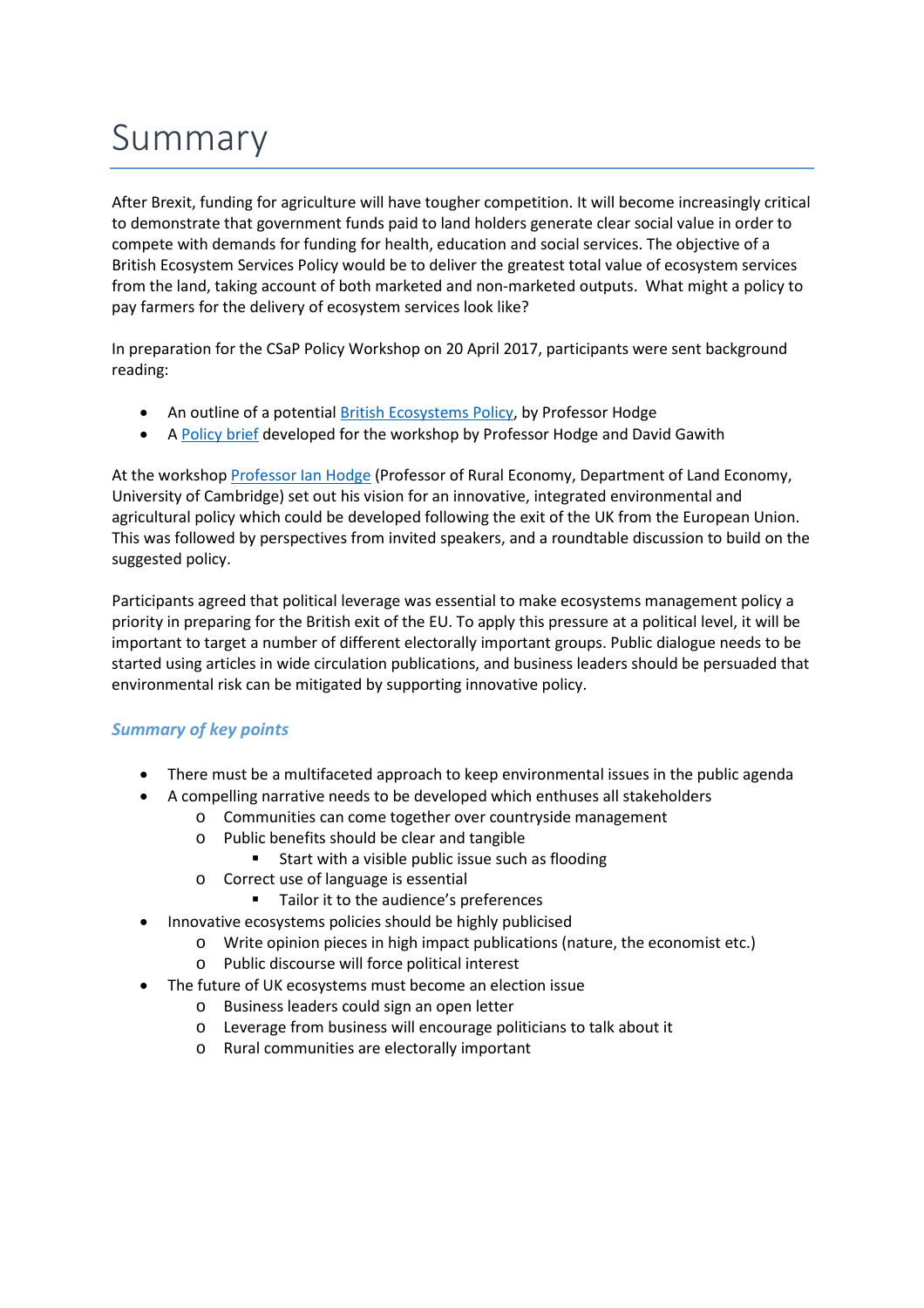## Summary

After Brexit, funding for agriculture will have tougher competition. It will become increasingly critical to demonstrate that government funds paid to land holders generate clear social value in order to compete with demands for funding for health, education and social services. The objective of a British Ecosystem Services Policy would be to deliver the greatest total value of ecosystem services from the land, taking account of both marketed and non-marketed outputs. What might a policy to pay farmers for the delivery of ecosystem services look like?

In preparation for the CSaP Policy Workshop on 20 April 2017, participants were sent background reading:

- An outline of a potential **British Ecosystems Policy**, by Professor Hodge
- A [Policy brief](http://www.csap.cam.ac.uk/media/uploads/files/1/besp-policy-brief---11-4-17.pdf) developed for the workshop by Professor Hodge and David Gawith

At the workshop [Professor Ian Hodge](http://www.csap.cam.ac.uk/network/ian-hodge/) (Professor of Rural Economy, Department of Land Economy, University of Cambridge) set out his vision for an innovative, integrated environmental and agricultural policy which could be developed following the exit of the UK from the European Union. This was followed by perspectives from invited speakers, and a roundtable discussion to build on the suggested policy.

Participants agreed that political leverage was essential to make ecosystems management policy a priority in preparing for the British exit of the EU. To apply this pressure at a political level, it will be important to target a number of different electorally important groups. Public dialogue needs to be started using articles in wide circulation publications, and business leaders should be persuaded that environmental risk can be mitigated by supporting innovative policy.

### *Summary of key points*

- There must be a multifaceted approach to keep environmental issues in the public agenda
- A compelling narrative needs to be developed which enthuses all stakeholders
	- o Communities can come together over countryside management
	- o Public benefits should be clear and tangible
		- **Start with a visible public issue such as flooding**
	- o Correct use of language is essential
		- Tailor it to the audience's preferences
	- Innovative ecosystems policies should be highly publicised
		- o Write opinion pieces in high impact publications (nature, the economist etc.)
			- o Public discourse will force political interest
- The future of UK ecosystems must become an election issue
	- o Business leaders could sign an open letter
	- o Leverage from business will encourage politicians to talk about it
	- o Rural communities are electorally important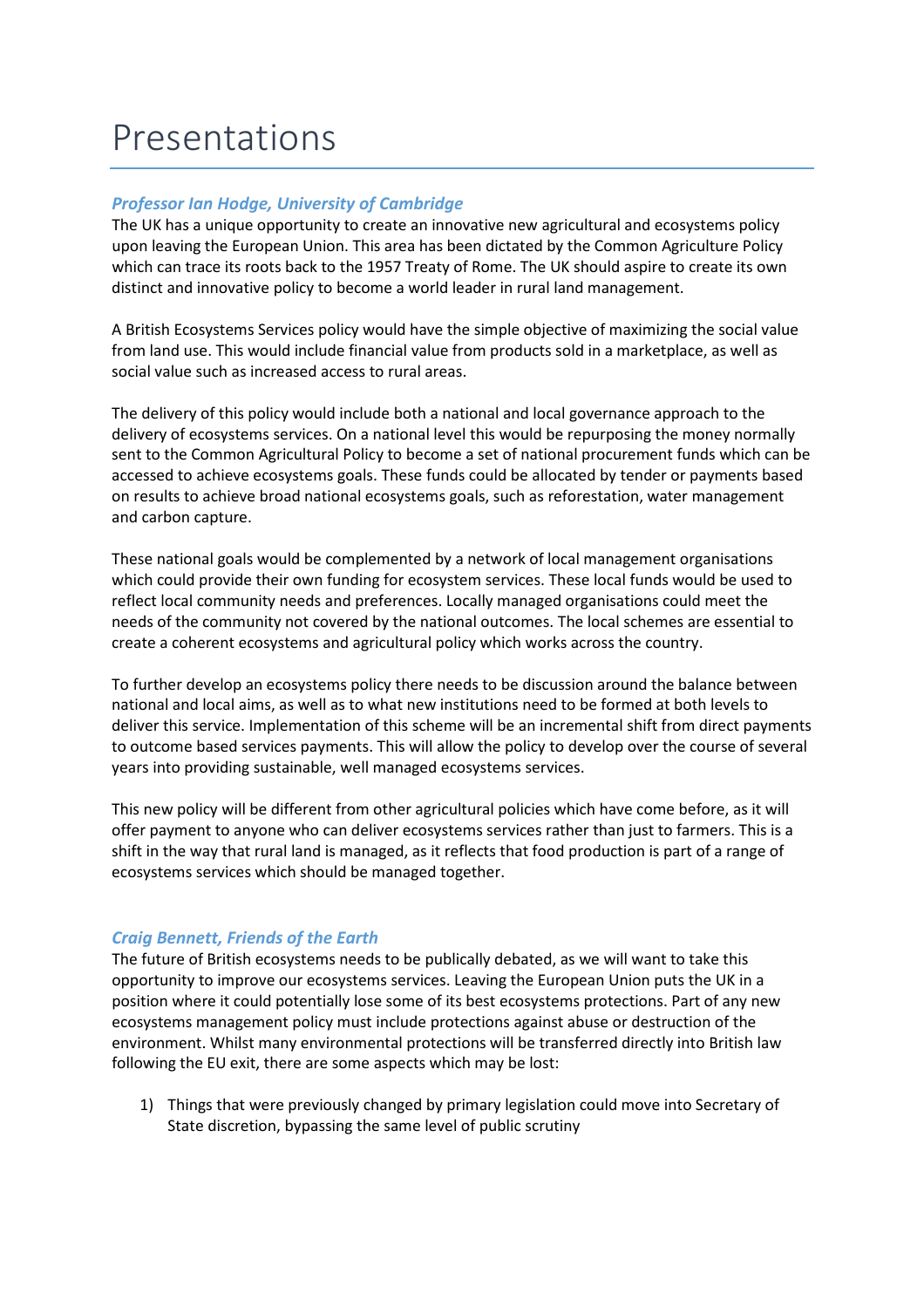### Presentations

### *Professor Ian Hodge, University of Cambridge*

The UK has a unique opportunity to create an innovative new agricultural and ecosystems policy upon leaving the European Union. This area has been dictated by the Common Agriculture Policy which can trace its roots back to the 1957 Treaty of Rome. The UK should aspire to create its own distinct and innovative policy to become a world leader in rural land management.

A British Ecosystems Services policy would have the simple objective of maximizing the social value from land use. This would include financial value from products sold in a marketplace, as well as social value such as increased access to rural areas.

The delivery of this policy would include both a national and local governance approach to the delivery of ecosystems services. On a national level this would be repurposing the money normally sent to the Common Agricultural Policy to become a set of national procurement funds which can be accessed to achieve ecosystems goals. These funds could be allocated by tender or payments based on results to achieve broad national ecosystems goals, such as reforestation, water management and carbon capture.

These national goals would be complemented by a network of local management organisations which could provide their own funding for ecosystem services. These local funds would be used to reflect local community needs and preferences. Locally managed organisations could meet the needs of the community not covered by the national outcomes. The local schemes are essential to create a coherent ecosystems and agricultural policy which works across the country.

To further develop an ecosystems policy there needs to be discussion around the balance between national and local aims, as well as to what new institutions need to be formed at both levels to deliver this service. Implementation of this scheme will be an incremental shift from direct payments to outcome based services payments. This will allow the policy to develop over the course of several years into providing sustainable, well managed ecosystems services.

This new policy will be different from other agricultural policies which have come before, as it will offer payment to anyone who can deliver ecosystems services rather than just to farmers. This is a shift in the way that rural land is managed, as it reflects that food production is part of a range of ecosystems services which should be managed together.

### *Craig Bennett, Friends of the Earth*

The future of British ecosystems needs to be publically debated, as we will want to take this opportunity to improve our ecosystems services. Leaving the European Union puts the UK in a position where it could potentially lose some of its best ecosystems protections. Part of any new ecosystems management policy must include protections against abuse or destruction of the environment. Whilst many environmental protections will be transferred directly into British law following the EU exit, there are some aspects which may be lost:

1) Things that were previously changed by primary legislation could move into Secretary of State discretion, bypassing the same level of public scrutiny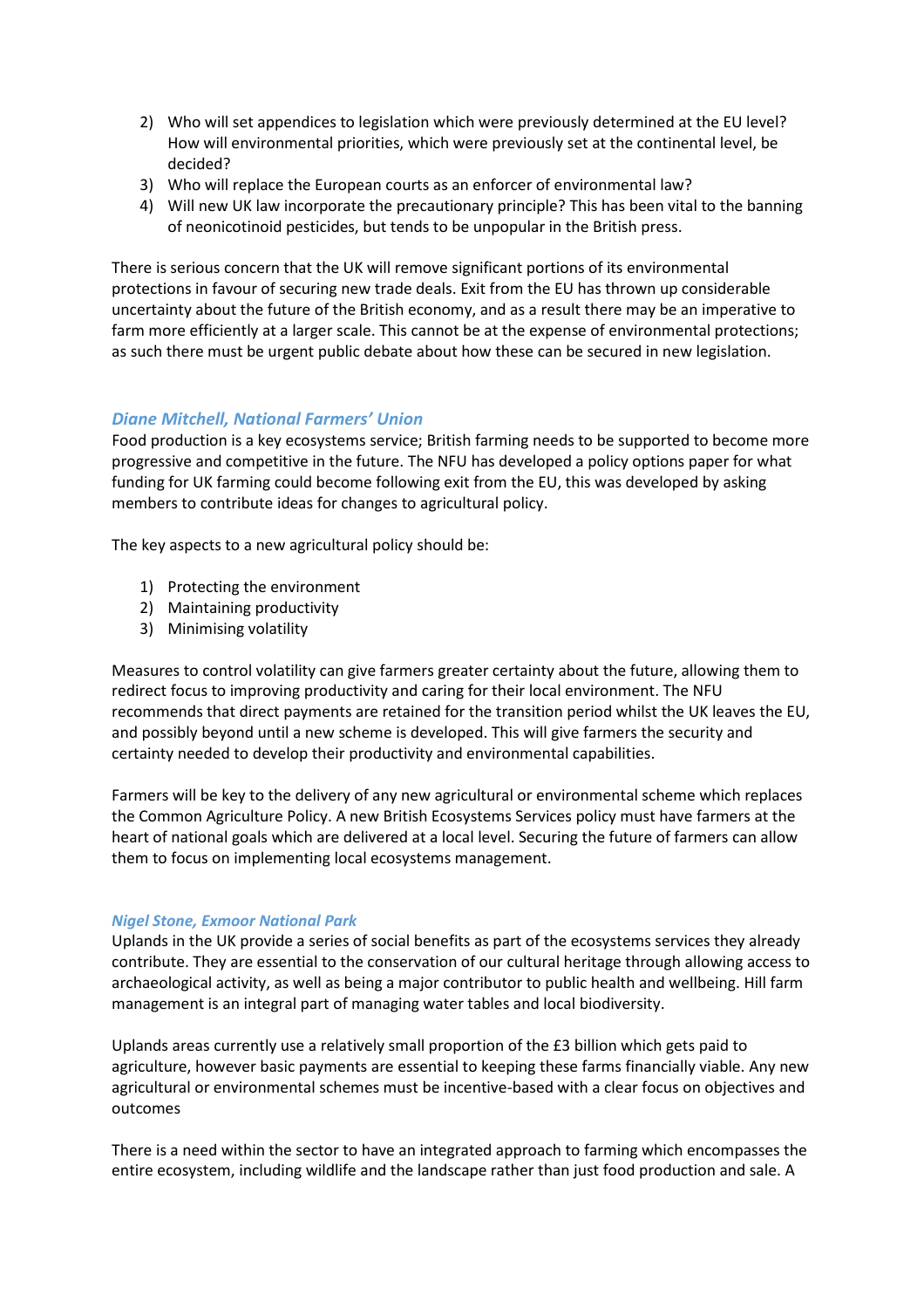- 2) Who will set appendices to legislation which were previously determined at the EU level? How will environmental priorities, which were previously set at the continental level, be decided?
- 3) Who will replace the European courts as an enforcer of environmental law?
- 4) Will new UK law incorporate the precautionary principle? This has been vital to the banning of neonicotinoid pesticides, but tends to be unpopular in the British press.

There is serious concern that the UK will remove significant portions of its environmental protections in favour of securing new trade deals. Exit from the EU has thrown up considerable uncertainty about the future of the British economy, and as a result there may be an imperative to farm more efficiently at a larger scale. This cannot be at the expense of environmental protections; as such there must be urgent public debate about how these can be secured in new legislation.

### *Diane Mitchell, National Farmers' Union*

Food production is a key ecosystems service; British farming needs to be supported to become more progressive and competitive in the future. The NFU has developed a policy options paper for what funding for UK farming could become following exit from the EU, this was developed by asking members to contribute ideas for changes to agricultural policy.

The key aspects to a new agricultural policy should be:

- 1) Protecting the environment
- 2) Maintaining productivity
- 3) Minimising volatility

Measures to control volatility can give farmers greater certainty about the future, allowing them to redirect focus to improving productivity and caring for their local environment. The NFU recommends that direct payments are retained for the transition period whilst the UK leaves the EU, and possibly beyond until a new scheme is developed. This will give farmers the security and certainty needed to develop their productivity and environmental capabilities.

Farmers will be key to the delivery of any new agricultural or environmental scheme which replaces the Common Agriculture Policy. A new British Ecosystems Services policy must have farmers at the heart of national goals which are delivered at a local level. Securing the future of farmers can allow them to focus on implementing local ecosystems management.

### *Nigel Stone, Exmoor National Park*

Uplands in the UK provide a series of social benefits as part of the ecosystems services they already contribute. They are essential to the conservation of our cultural heritage through allowing access to archaeological activity, as well as being a major contributor to public health and wellbeing. Hill farm management is an integral part of managing water tables and local biodiversity.

Uplands areas currently use a relatively small proportion of the £3 billion which gets paid to agriculture, however basic payments are essential to keeping these farms financially viable. Any new agricultural or environmental schemes must be incentive-based with a clear focus on objectives and outcomes

There is a need within the sector to have an integrated approach to farming which encompasses the entire ecosystem, including wildlife and the landscape rather than just food production and sale. A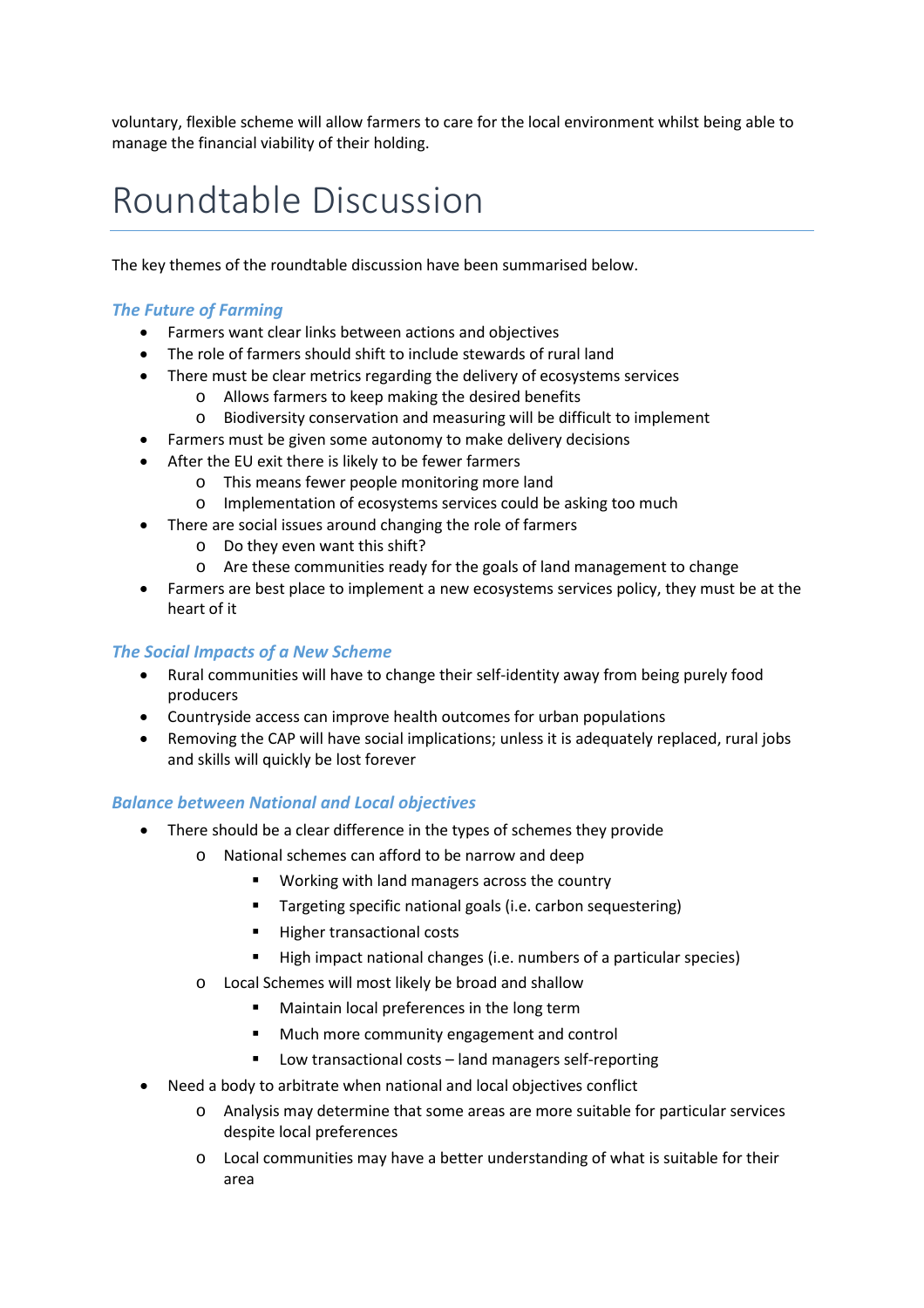voluntary, flexible scheme will allow farmers to care for the local environment whilst being able to manage the financial viability of their holding.

### Roundtable Discussion

The key themes of the roundtable discussion have been summarised below.

### *The Future of Farming*

- Farmers want clear links between actions and objectives
- The role of farmers should shift to include stewards of rural land
- There must be clear metrics regarding the delivery of ecosystems services
	- o Allows farmers to keep making the desired benefits
	- o Biodiversity conservation and measuring will be difficult to implement
- Farmers must be given some autonomy to make delivery decisions
- After the EU exit there is likely to be fewer farmers
	- o This means fewer people monitoring more land
	- o Implementation of ecosystems services could be asking too much
- There are social issues around changing the role of farmers
	- o Do they even want this shift?
	- o Are these communities ready for the goals of land management to change
- Farmers are best place to implement a new ecosystems services policy, they must be at the heart of it

### *The Social Impacts of a New Scheme*

- Rural communities will have to change their self-identity away from being purely food producers
- Countryside access can improve health outcomes for urban populations
- Removing the CAP will have social implications; unless it is adequately replaced, rural jobs and skills will quickly be lost forever

### *Balance between National and Local objectives*

- There should be a clear difference in the types of schemes they provide
	- o National schemes can afford to be narrow and deep
		- **Working with land managers across the country**
		- **Targeting specific national goals (i.e. carbon sequestering)**
		- **Higher transactional costs**
		- High impact national changes (i.e. numbers of a particular species)
	- o Local Schemes will most likely be broad and shallow
		- **Maintain local preferences in the long term**
		- **Much more community engagement and control**
		- **Low transactional costs land managers self-reporting**
- Need a body to arbitrate when national and local objectives conflict
	- o Analysis may determine that some areas are more suitable for particular services despite local preferences
	- o Local communities may have a better understanding of what is suitable for their area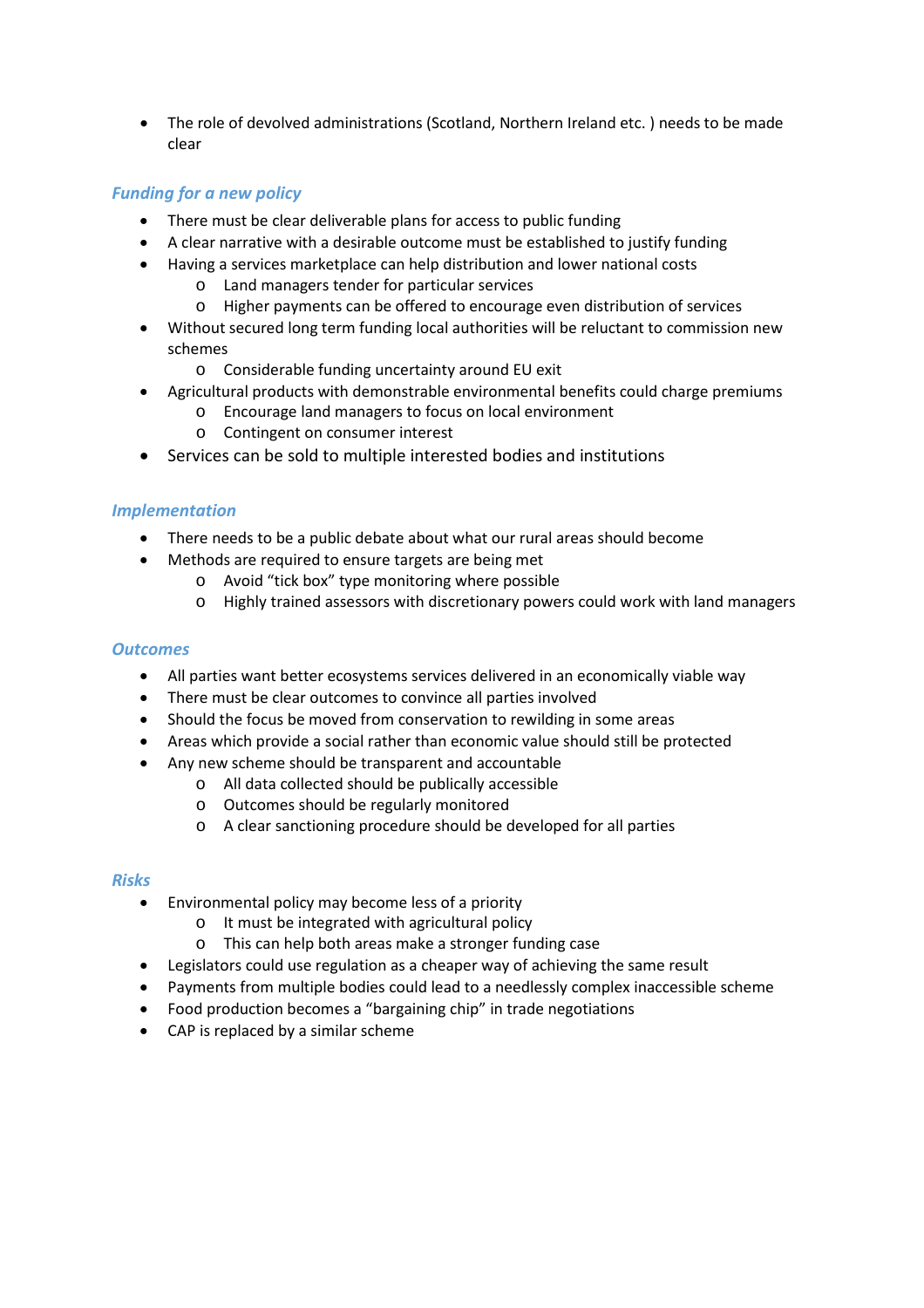• The role of devolved administrations (Scotland, Northern Ireland etc. ) needs to be made clear

### *Funding for a new policy*

- There must be clear deliverable plans for access to public funding
- A clear narrative with a desirable outcome must be established to justify funding
- Having a services marketplace can help distribution and lower national costs
	- o Land managers tender for particular services
	- o Higher payments can be offered to encourage even distribution of services
- Without secured long term funding local authorities will be reluctant to commission new schemes
	- o Considerable funding uncertainty around EU exit
- Agricultural products with demonstrable environmental benefits could charge premiums
	- o Encourage land managers to focus on local environment
	- o Contingent on consumer interest
- Services can be sold to multiple interested bodies and institutions

### *Implementation*

- There needs to be a public debate about what our rural areas should become
- Methods are required to ensure targets are being met
	- o Avoid "tick box" type monitoring where possible
	- o Highly trained assessors with discretionary powers could work with land managers

### *Outcomes*

- All parties want better ecosystems services delivered in an economically viable way
- There must be clear outcomes to convince all parties involved
- Should the focus be moved from conservation to rewilding in some areas
- Areas which provide a social rather than economic value should still be protected
- Any new scheme should be transparent and accountable
	- o All data collected should be publically accessible
	- o Outcomes should be regularly monitored
	- o A clear sanctioning procedure should be developed for all parties

### *Risks*

- Environmental policy may become less of a priority
	- o It must be integrated with agricultural policy
	- o This can help both areas make a stronger funding case
- Legislators could use regulation as a cheaper way of achieving the same result
- Payments from multiple bodies could lead to a needlessly complex inaccessible scheme
- Food production becomes a "bargaining chip" in trade negotiations
- CAP is replaced by a similar scheme